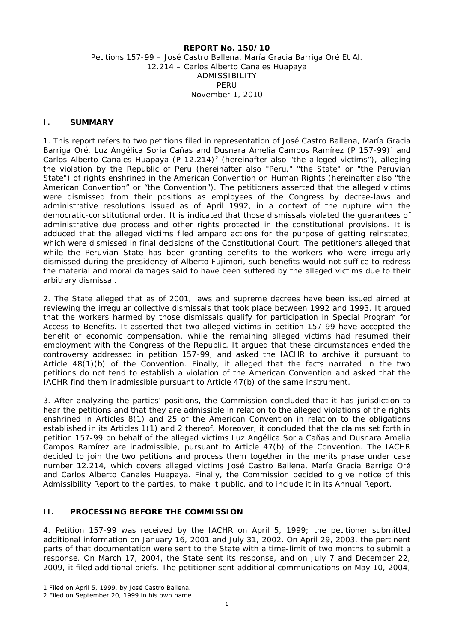#### **REPORT No. 150/10** Petitions 157-99 – José Castro Ballena, María Gracia Barriga Oré Et Al. 12.214 – Carlos Alberto Canales Huapaya ADMISSIBILITY PERU November 1, 2010

### **I. SUMMARY**

1. This report refers to two petitions filed in representation of José Castro Ballena, María Gracia Barriga Oré, Luz Angélica Soria Cañas and Dusnara Amelia Campos Ramírez (P [1](#page-0-0)57-99)<sup>1</sup> and Carlos Alberto Canales Huapaya (P 1[2](#page-0-1).214)<sup>2</sup> (hereinafter also "the alleged victims"), alleging the violation by the Republic of Peru (hereinafter also "Peru," "the State" or "the Peruvian State") of rights enshrined in the American Convention on Human Rights (hereinafter also "the American Convention" or "the Convention"). The petitioners asserted that the alleged victims were dismissed from their positions as employees of the Congress by decree-laws and administrative resolutions issued as of April 1992, in a context of the rupture with the democratic-constitutional order. It is indicated that those dismissals violated the guarantees of administrative due process and other rights protected in the constitutional provisions. It is adduced that the alleged victims filed *amparo* actions for the purpose of getting reinstated, which were dismissed in final decisions of the Constitutional Court. The petitioners alleged that while the Peruvian State has been granting benefits to the workers who were irregularly dismissed during the presidency of Alberto Fujimori, such benefits would not suffice to redress the material and moral damages said to have been suffered by the alleged victims due to their arbitrary dismissal.

2. The State alleged that as of 2001, laws and supreme decrees have been issued aimed at reviewing the irregular collective dismissals that took place between 1992 and 1993. It argued that the workers harmed by those dismissals qualify for participation in Special Program for Access to Benefits. It asserted that two alleged victims in petition 157-99 have accepted the benefit of economic compensation, while the remaining alleged victims had resumed their employment with the Congress of the Republic. It argued that these circumstances ended the controversy addressed in petition 157-99, and asked the IACHR to archive it pursuant to Article 48(1)(b) of the Convention. Finally, it alleged that the facts narrated in the two petitions do not tend to establish a violation of the American Convention and asked that the IACHR find them inadmissible pursuant to Article 47(b) of the same instrument.

3. After analyzing the parties' positions, the Commission concluded that it has jurisdiction to hear the petitions and that they are admissible in relation to the alleged violations of the rights enshrined in Articles 8(1) and 25 of the American Convention in relation to the obligations established in its Articles 1(1) and 2 thereof. Moreover, it concluded that the claims set forth in petition 157-99 on behalf of the alleged victims Luz Angélica Soria Cañas and Dusnara Amelia Campos Ramírez are inadmissible, pursuant to Article 47(b) of the Convention. The IACHR decided to join the two petitions and process them together in the merits phase under case number 12.214, which covers alleged victims José Castro Ballena, María Gracia Barriga Oré and Carlos Alberto Canales Huapaya. Finally, the Commission decided to give notice of this Admissibility Report to the parties, to make it public, and to include it in its Annual Report.

### **II. PROCESSING BEFORE THE COMMISSION**

4. Petition 157-99 was received by the IACHR on April 5, 1999; the petitioner submitted additional information on January 16, 2001 and July 31, 2002. On April 29, 2003, the pertinent parts of that documentation were sent to the State with a time-limit of two months to submit a response. On March 17, 2004, the State sent its response, and on July 7 and December 22, 2009, it filed additional briefs. The petitioner sent additional communications on May 10, 2004,

<sup>-</sup>1 Filed on April 5, 1999, by José Castro Ballena.

<span id="page-0-1"></span><span id="page-0-0"></span><sup>2</sup> Filed on September 20, 1999 in his own name.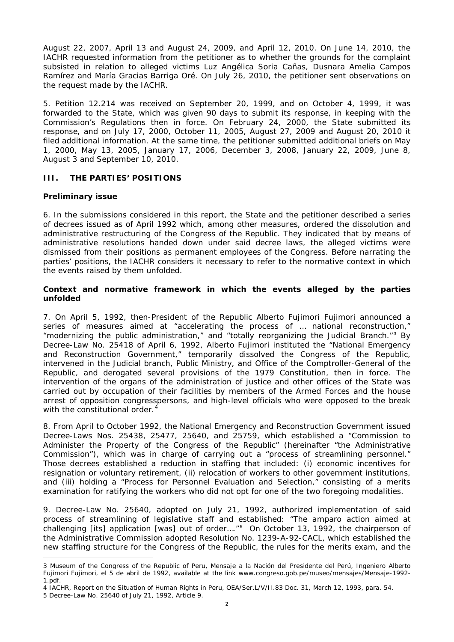August 22, 2007, April 13 and August 24, 2009, and April 12, 2010. On June 14, 2010, the IACHR requested information from the petitioner as to whether the grounds for the complaint subsisted in relation to alleged victims Luz Angélica Soria Cañas, Dusnara Amelia Campos Ramírez and María Gracias Barriga Oré. On July 26, 2010, the petitioner sent observations on the request made by the IACHR.

5. Petition 12.214 was received on September 20, 1999, and on October 4, 1999, it was forwarded to the State, which was given 90 days to submit its response, in keeping with the Commission's Regulations then in force. On February 24, 2000, the State submitted its response, and on July 17, 2000, October 11, 2005, August 27, 2009 and August 20, 2010 it filed additional information. At the same time, the petitioner submitted additional briefs on May 1, 2000, May 13, 2005, January 17, 2006, December 3, 2008, January 22, 2009, June 8, August 3 and September 10, 2010.

## **III. THE PARTIES' POSITIONS**

## *Preliminary issue*

6. In the submissions considered in this report, the State and the petitioner described a series of decrees issued as of April 1992 which, among other measures, ordered the dissolution and administrative restructuring of the Congress of the Republic. They indicated that by means of administrative resolutions handed down under said decree laws, the alleged victims were dismissed from their positions as permanent employees of the Congress. Before narrating the parties' positions, the IACHR considers it necessary to refer to the normative context in which the events raised by them unfolded.

### *Context and normative framework in which the events alleged by the parties unfolded*

7. On April 5, 1992, then-President of the Republic Alberto Fujimori Fujimori announced a series of measures aimed at "accelerating the process of … national reconstruction," "modernizing the public administration," and "totally reorganizing the Judicial Branch."[3](#page-1-0) By Decree-Law No. 25418 of April 6, 1992, Alberto Fujimori instituted the "National Emergency and Reconstruction Government," temporarily dissolved the Congress of the Republic, intervened in the Judicial branch, Public Ministry, and Office of the Comptroller-General of the Republic, and derogated several provisions of the 1979 Constitution, then in force. The intervention of the organs of the administration of justice and other offices of the State was carried out by occupation of their facilities by members of the Armed Forces and the house arrest of opposition congresspersons, and high-level officials who were opposed to the break with the constitutional order.<sup>[4](#page-1-1)</sup>

8. From April to October 1992, the National Emergency and Reconstruction Government issued Decree-Laws Nos. 25438, 25477, 25640, and 25759, which established a "Commission to Administer the Property of the Congress of the Republic" (hereinafter "the Administrative Commission"), which was in charge of carrying out a "process of streamlining personnel." Those decrees established a reduction in staffing that included: (i) economic incentives for resignation or voluntary retirement, (ii) relocation of workers to other government institutions, and (iii) holding a "Process for Personnel Evaluation and Selection," consisting of a merits examination for ratifying the workers who did not opt for one of the two foregoing modalities.

9. Decree-Law No. 25640, adopted on July 21, 1992, authorized implementation of said process of streamlining of legislative staff and established: "The *amparo* action aimed at challenging [its] application [was] out of order…." [5](#page-1-2) On October 13, 1992, the chairperson of the Administrative Commission adopted Resolution No. 1239-A-92-CACL, which established the new staffing structure for the Congress of the Republic, the rules for the merits exam, and the

<span id="page-1-0"></span><sup>3</sup> Museum of the Congress of the Republic of Peru, Mensaje a la Nación del Presidente del Perú, Ingeniero Alberto Fujimori Fujimori, el 5 de abril de 1992, available at the link [www.congreso.gob.pe/museo/mensajes/Mensaje-1992-](http://www.congreso.gob.pe/museo/mensajes/Mensaje-1992-1.pdf) [1.pdf.](http://www.congreso.gob.pe/museo/mensajes/Mensaje-1992-1.pdf)

<span id="page-1-1"></span><sup>4</sup> IACHR, Report on the Situation of Human Rights in Peru, OEA/Ser.L/V/II.83 Doc. 31, March 12, 1993, para. 54.

<span id="page-1-2"></span><sup>5</sup> Decree-Law No. 25640 of July 21, 1992, Article 9.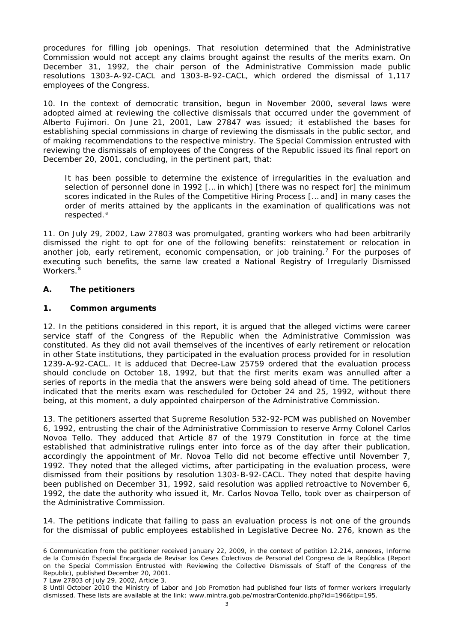procedures for filling job openings. That resolution determined that the Administrative Commission would not accept any claims brought against the results of the merits exam. On December 31, 1992, the chair person of the Administrative Commission made public resolutions 1303-A-92-CACL and 1303-B-92-CACL, which ordered the dismissal of 1,117 employees of the Congress.

10. In the context of democratic transition, begun in November 2000, several laws were adopted aimed at reviewing the collective dismissals that occurred under the government of Alberto Fujimori. On June 21, 2001, Law 27847 was issued; it established the bases for establishing special commissions in charge of reviewing the dismissals in the public sector, and of making recommendations to the respective ministry. The Special Commission entrusted with reviewing the dismissals of employees of the Congress of the Republic issued its final report on December 20, 2001, concluding, in the pertinent part, that:

It has been possible to determine the existence of irregularities in the evaluation and selection of personnel done in 1992 [… in which] [there was no respect for] the minimum scores indicated in the Rules of the Competitive Hiring Process [… and] in many cases the order of merits attained by the applicants in the examination of qualifications was not respected.<sup>[6](#page-2-0)</sup>

11. On July 29, 2002, Law 27803 was promulgated, granting workers who had been arbitrarily dismissed the right to opt for one of the following benefits: reinstatement or relocation in another job, early retirement, economic compensation, or job training.<sup>[7](#page-2-1)</sup> For the purposes of executing such benefits, the same law created a National Registry of Irregularly Dismissed Workers.<sup>[8](#page-2-2)</sup>

# **A. The petitioners**

### **1. Common arguments**

12. In the petitions considered in this report, it is argued that the alleged victims were career service staff of the Congress of the Republic when the Administrative Commission was constituted. As they did not avail themselves of the incentives of early retirement or relocation in other State institutions, they participated in the evaluation process provided for in resolution 1239-A-92-CACL. It is adduced that Decree-Law 25759 ordered that the evaluation process should conclude on October 18, 1992, but that the first merits exam was annulled after a series of reports in the media that the answers were being sold ahead of time. The petitioners indicated that the merits exam was rescheduled for October 24 and 25, 1992, without there being, at this moment, a duly appointed chairperson of the Administrative Commission.

13. The petitioners asserted that Supreme Resolution 532-92-PCM was published on November 6, 1992, entrusting the chair of the Administrative Commission to reserve Army Colonel Carlos Novoa Tello. They adduced that Article 87 of the 1979 Constitution in force at the time established that administrative rulings enter into force as of the day after their publication, accordingly the appointment of Mr. Novoa Tello did not become effective until November 7, 1992. They noted that the alleged victims, after participating in the evaluation process, were dismissed from their positions by resolution 1303-B-92-CACL. They noted that despite having been published on December 31, 1992, said resolution was applied retroactive to November 6, 1992, the date the authority who issued it, Mr. Carlos Novoa Tello, took over as chairperson of the Administrative Commission.

14. The petitions indicate that failing to pass an evaluation process is not one of the grounds for the dismissal of public employees established in Legislative Decree No. 276, known as the

<span id="page-2-1"></span>7 Law 27803 of July 29, 2002, Article 3.

<span id="page-2-0"></span><sup>6</sup> Communication from the petitioner received January 22, 2009, in the context of petition 12.214, annexes, Informe de la Comisión Especial Encargada de Revisar los Ceses Colectivos de Personal del Congreso de la República (Report on the Special Commission Entrusted with Reviewing the Collective Dismissals of Staff of the Congress of the Republic), published December 20, 2001.

<span id="page-2-2"></span><sup>8</sup> Until October 2010 the Ministry of Labor and Job Promotion had published four lists of former workers irregularly dismissed. These lists are available at the link: [www.mintra.gob.pe/mostrarContenido.php?id=196&tip=195.](http://www.mintra.gob.pe/mostrarContenido.php?id=196&tip=195)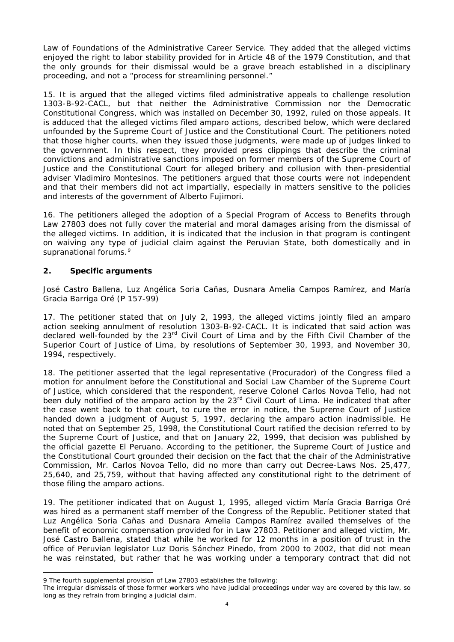Law of Foundations of the Administrative Career Service. They added that the alleged victims enjoyed the right to labor stability provided for in Article 48 of the 1979 Constitution, and that the only grounds for their dismissal would be a grave breach established in a disciplinary proceeding, and not a "process for streamlining personnel."

15. It is argued that the alleged victims filed administrative appeals to challenge resolution 1303-B-92-CACL, but that neither the Administrative Commission nor the Democratic Constitutional Congress, which was installed on December 30, 1992, ruled on those appeals. It is adduced that the alleged victims filed *amparo* actions, described below, which were declared unfounded by the Supreme Court of Justice and the Constitutional Court. The petitioners noted that those higher courts, when they issued those judgments, were made up of judges linked to the government. In this respect, they provided press clippings that describe the criminal convictions and administrative sanctions imposed on former members of the Supreme Court of Justice and the Constitutional Court for alleged bribery and collusion with then-presidential adviser Vladimiro Montesinos. The petitioners argued that those courts were not independent and that their members did not act impartially, especially in matters sensitive to the policies and interests of the government of Alberto Fujimori.

16. The petitioners alleged the adoption of a Special Program of Access to Benefits through Law 27803 does not fully cover the material and moral damages arising from the dismissal of the alleged victims. In addition, it is indicated that the inclusion in that program is contingent on waiving any type of judicial claim against the Peruvian State, both domestically and in supranational forums.<sup>[9](#page-3-0)</sup>

## **2. Specific arguments**

-

*José Castro Ballena, Luz Angélica Soria Cañas, Dusnara Amelia Campos Ramírez, and María Gracia Barriga Oré (P 157-99)*

17. The petitioner stated that on July 2, 1993, the alleged victims jointly filed an *amparo* action seeking annulment of resolution 1303-B-92-CACL. It is indicated that said action was declared well-founded by the 23<sup>rd</sup> Civil Court of Lima and by the Fifth Civil Chamber of the Superior Court of Justice of Lima, by resolutions of September 30, 1993, and November 30, 1994, respectively.

18. The petitioner asserted that the legal representative (*Procurador*) of the Congress filed a motion for annulment before the Constitutional and Social Law Chamber of the Supreme Court of Justice, which considered that the respondent, reserve Colonel Carlos Novoa Tello, had not been duly notified of the *amparo* action by the 23<sup>rd</sup> Civil Court of Lima. He indicated that after the case went back to that court, to cure the error in notice, the Supreme Court of Justice handed down a judgment of August 5, 1997, declaring the *amparo* action inadmissible. He noted that on September 25, 1998, the Constitutional Court ratified the decision referred to by the Supreme Court of Justice, and that on January 22, 1999, that decision was published by the official gazette *El Peruano*. According to the petitioner, the Supreme Court of Justice and the Constitutional Court grounded their decision on the fact that the chair of the Administrative Commission, Mr. Carlos Novoa Tello, did no more than carry out Decree-Laws Nos. 25,477, 25,640, and 25,759, without that having affected any constitutional right to the detriment of those filing the *amparo* actions.

19. The petitioner indicated that on August 1, 1995, alleged victim María Gracia Barriga Oré was hired as a permanent staff member of the Congress of the Republic. Petitioner stated that Luz Angélica Soria Cañas and Dusnara Amelia Campos Ramírez availed themselves of the benefit of economic compensation provided for in Law 27803. Petitioner and alleged victim, Mr. José Castro Ballena, stated that while he worked for 12 months in a position of trust in the office of Peruvian legislator Luz Doris Sánchez Pinedo, from 2000 to 2002, that did not mean he was reinstated, but rather that he was working under a temporary contract that did not

<span id="page-3-0"></span><sup>9</sup> The fourth supplemental provision of Law 27803 establishes the following:

The irregular dismissals of those former workers who have judicial proceedings under way are covered by this law, so long as they refrain from bringing a judicial claim.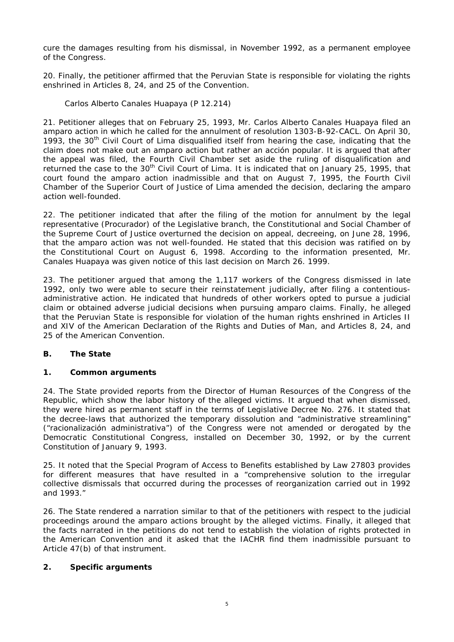cure the damages resulting from his dismissal, in November 1992, as a permanent employee of the Congress.

20. Finally, the petitioner affirmed that the Peruvian State is responsible for violating the rights enshrined in Articles 8, 24, and 25 of the Convention.

*Carlos Alberto Canales Huapaya (P 12.214)*

21. Petitioner alleges that on February 25, 1993, Mr. Carlos Alberto Canales Huapaya filed an *amparo* action in which he called for the annulment of resolution 1303-B-92-CACL. On April 30, 1993, the 30<sup>th</sup> Civil Court of Lima disqualified itself from hearing the case, indicating that the claim does not make out an *amparo* action but rather an *acción popular*. It is argued that after the appeal was filed, the Fourth Civil Chamber set aside the ruling of disqualification and returned the case to the  $30<sup>th</sup>$  Civil Court of Lima. It is indicated that on January 25, 1995, that court found the *amparo* action inadmissible and that on August 7, 1995, the Fourth Civil Chamber of the Superior Court of Justice of Lima amended the decision, declaring the *amparo* action well-founded.

22. The petitioner indicated that after the filing of the motion for annulment by the legal representative (*Procurador*) of the Legislative branch, the Constitutional and Social Chamber of the Supreme Court of Justice overturned the decision on appeal, decreeing, on June 28, 1996, that the *amparo* action was not well-founded. He stated that this decision was ratified on by the Constitutional Court on August 6, 1998. According to the information presented, Mr. Canales Huapaya was given notice of this last decision on March 26. 1999.

23. The petitioner argued that among the 1,117 workers of the Congress dismissed in late 1992, only two were able to secure their reinstatement judicially, after filing a contentiousadministrative action. He indicated that hundreds of other workers opted to pursue a judicial claim or obtained adverse judicial decisions when pursuing *amparo* claims. Finally, he alleged that the Peruvian State is responsible for violation of the human rights enshrined in Articles II and XIV of the American Declaration of the Rights and Duties of Man, and Articles 8, 24, and 25 of the American Convention.

# **B. The State**

### **1. Common arguments**

24. The State provided reports from the Director of Human Resources of the Congress of the Republic, which show the labor history of the alleged victims. It argued that when dismissed, they were hired as permanent staff in the terms of Legislative Decree No. 276. It stated that the decree-laws that authorized the temporary dissolution and "administrative streamlining" ("r*acionalización administrativa*") of the Congress were not amended or derogated by the Democratic Constitutional Congress, installed on December 30, 1992, or by the current Constitution of January 9, 1993.

25. It noted that the Special Program of Access to Benefits established by Law 27803 provides for different measures that have resulted in a "comprehensive solution to the irregular collective dismissals that occurred during the processes of reorganization carried out in 1992 and 1993."

26. The State rendered a narration similar to that of the petitioners with respect to the judicial proceedings around the *amparo* actions brought by the alleged victims. Finally, it alleged that the facts narrated in the petitions do not tend to establish the violation of rights protected in the American Convention and it asked that the IACHR find them inadmissible pursuant to Article 47(b) of that instrument.

### **2. Specific arguments**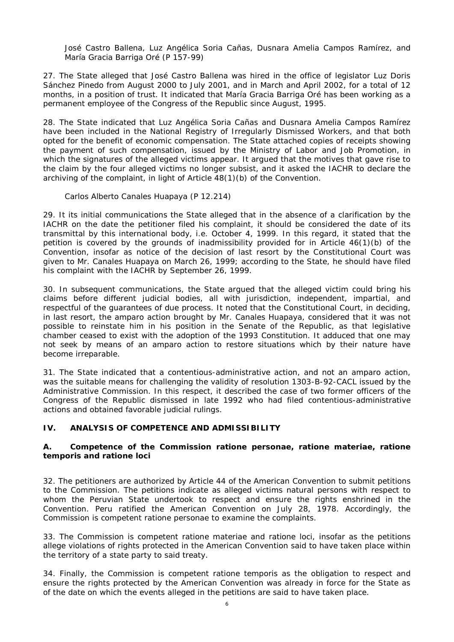*José Castro Ballena, Luz Angélica Soria Cañas, Dusnara Amelia Campos Ramírez, and María Gracia Barriga Oré (P 157-99)*

27. The State alleged that José Castro Ballena was hired in the office of legislator Luz Doris Sánchez Pinedo from August 2000 to July 2001, and in March and April 2002, for a total of 12 months, in a position of trust. It indicated that María Gracia Barriga Oré has been working as a permanent employee of the Congress of the Republic since August, 1995.

28. The State indicated that Luz Angélica Soria Cañas and Dusnara Amelia Campos Ramírez have been included in the National Registry of Irregularly Dismissed Workers, and that both opted for the benefit of economic compensation. The State attached copies of receipts showing the payment of such compensation, issued by the Ministry of Labor and Job Promotion, in which the signatures of the alleged victims appear. It argued that the motives that gave rise to the claim by the four alleged victims no longer subsist, and it asked the IACHR to declare the archiving of the complaint, in light of Article 48(1)(b) of the Convention.

### *Carlos Alberto Canales Huapaya (P 12.214)*

29. It its initial communications the State alleged that in the absence of a clarification by the IACHR on the date the petitioner filed his complaint, it should be considered the date of its transmittal by this international body, i.e. October 4, 1999. In this regard, it stated that the petition is covered by the grounds of inadmissibility provided for in Article 46(1)(b) of the Convention, insofar as notice of the decision of last resort by the Constitutional Court was given to Mr. Canales Huapaya on March 26, 1999; according to the State, he should have filed his complaint with the IACHR by September 26, 1999.

30. In subsequent communications, the State argued that the alleged victim could bring his claims before different judicial bodies, all with jurisdiction, independent, impartial, and respectful of the guarantees of due process. It noted that the Constitutional Court, in deciding, in last resort, the *amparo* action brought by Mr. Canales Huapaya, considered that it was not possible to reinstate him in his position in the Senate of the Republic, as that legislative chamber ceased to exist with the adoption of the 1993 Constitution. It adduced that one may not seek by means of an *amparo* action to restore situations which by their nature have become irreparable.

31. The State indicated that a contentious-administrative action, and not an *amparo* action, was the suitable means for challenging the validity of resolution 1303-B-92-CACL issued by the Administrative Commission. In this respect, it described the case of two former officers of the Congress of the Republic dismissed in late 1992 who had filed contentious-administrative actions and obtained favorable judicial rulings.

# **IV. ANALYSIS OF COMPETENCE AND ADMISSIBILITY**

## **A. Competence of the Commission ratione personae, ratione materiae, ratione temporis and ratione loci**

32. The petitioners are authorized by Article 44 of the American Convention to submit petitions to the Commission. The petitions indicate as alleged victims natural persons with respect to whom the Peruvian State undertook to respect and ensure the rights enshrined in the Convention. Peru ratified the American Convention on July 28, 1978. Accordingly, the Commission is competent *ratione personae* to examine the complaints.

33. The Commission is competent *ratione materiae* and *ratione loci*, insofar as the petitions allege violations of rights protected in the American Convention said to have taken place within the territory of a state party to said treaty.

34. Finally, the Commission is competent *ratione temporis* as the obligation to respect and ensure the rights protected by the American Convention was already in force for the State as of the date on which the events alleged in the petitions are said to have taken place.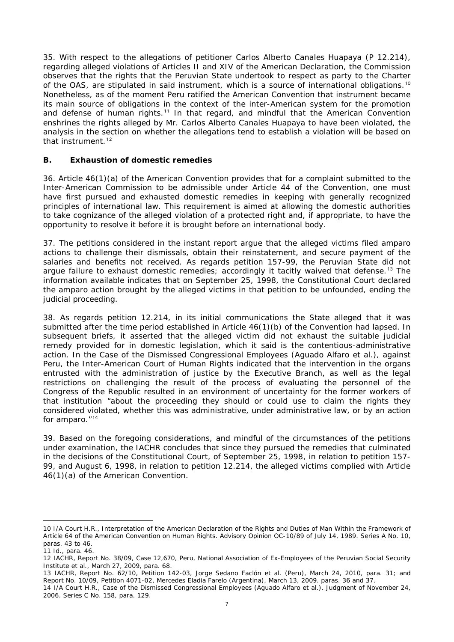35. With respect to the allegations of petitioner Carlos Alberto Canales Huapaya (P 12.214), regarding alleged violations of Articles II and XIV of the American Declaration, the Commission observes that the rights that the Peruvian State undertook to respect as party to the Charter of the OAS, are stipulated in said instrument, which is a source of international obligations.<sup>[10](#page-6-0)</sup> Nonetheless, as of the moment Peru ratified the American Convention that instrument became its main source of obligations in the context of the inter-American system for the promotion and defense of human rights.<sup>[11](#page-6-1)</sup> In that regard, and mindful that the American Convention enshrines the rights alleged by Mr. Carlos Alberto Canales Huapaya to have been violated, the analysis in the section on whether the allegations tend to establish a violation will be based on that instrument.<sup>[12](#page-6-2)</sup>

## **B. Exhaustion of domestic remedies**

36. Article 46(1)(a) of the American Convention provides that for a complaint submitted to the Inter-American Commission to be admissible under Article 44 of the Convention, one must have first pursued and exhausted domestic remedies in keeping with generally recognized principles of international law. This requirement is aimed at allowing the domestic authorities to take cognizance of the alleged violation of a protected right and, if appropriate, to have the opportunity to resolve it before it is brought before an international body.

37. The petitions considered in the instant report argue that the alleged victims filed *amparo* actions to challenge their dismissals, obtain their reinstatement, and secure payment of the salaries and benefits not received. As regards petition 157-99, the Peruvian State did not argue failure to exhaust domestic remedies; accordingly it tacitly waived that defense.<sup>[13](#page-6-3)</sup> The information available indicates that on September 25, 1998, the Constitutional Court declared the *amparo* action brought by the alleged victims in that petition to be unfounded, ending the judicial proceeding.

38. As regards petition 12.214, in its initial communications the State alleged that it was submitted after the time period established in Article 46(1)(b) of the Convention had lapsed. In subsequent briefs, it asserted that the alleged victim did not exhaust the suitable judicial remedy provided for in domestic legislation, which it said is the contentious-administrative action. In the *Case of the Dismissed Congressional Employees (Aguado Alfaro et al.)*, against Peru, the Inter-American Court of Human Rights indicated that the intervention in the organs entrusted with the administration of justice by the Executive Branch, as well as the legal restrictions on challenging the result of the process of evaluating the personnel of the Congress of the Republic resulted in an environment of uncertainty for the former workers of that institution "about the proceeding they should or could use to claim the rights they considered violated, whether this was administrative, under administrative law, or by an action for *amparo*." [14](#page-6-4)

39. Based on the foregoing considerations, and mindful of the circumstances of the petitions under examination, the IACHR concludes that since they pursued the remedies that culminated in the decisions of the Constitutional Court, of September 25, 1998, in relation to petition 157- 99, and August 6, 1998, in relation to petition 12.214, the alleged victims complied with Article 46(1)(a) of the American Convention.

<span id="page-6-0"></span><sup>10</sup> I/A Court H.R., Interpretation of the American Declaration of the Rights and Duties of Man Within the Framework of Article 64 of the American Convention on Human Rights. Advisory Opinion OC-10/89 of July 14, 1989. Series A No. 10, paras. 43 to 46.

<span id="page-6-1"></span><sup>11</sup> Id., para. 46.

<span id="page-6-2"></span><sup>12</sup> IACHR, Report No. 38/09, Case 12,670, Peru, National Association of Ex-Employees of the Peruvian Social Security Institute et al., March 27, 2009, para. 68.

<span id="page-6-3"></span><sup>13</sup> IACHR, Report No. 62/10, Petition 142-03, Jorge Sedano Faclón et al. (Peru), March 24, 2010, para. 31; and Report No. 10/09, Petition 4071-02, Mercedes Eladia Farelo (Argentina), March 13, 2009. paras. 36 and 37.

<span id="page-6-4"></span><sup>14</sup> I/A Court H.R., Case of the Dismissed Congressional Employees (Aguado Alfaro et al.). Judgment of November 24, 2006. Series C No. 158, para. 129.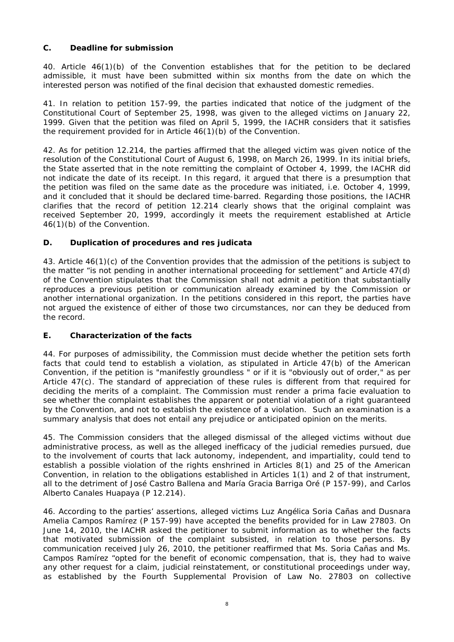# **C. Deadline for submission**

40. Article 46(1)(b) of the Convention establishes that for the petition to be declared admissible, it must have been submitted within six months from the date on which the interested person was notified of the final decision that exhausted domestic remedies.

41. In relation to petition 157-99, the parties indicated that notice of the judgment of the Constitutional Court of September 25, 1998, was given to the alleged victims on January 22, 1999. Given that the petition was filed on April 5, 1999, the IACHR considers that it satisfies the requirement provided for in Article 46(1)(b) of the Convention.

42. As for petition 12.214, the parties affirmed that the alleged victim was given notice of the resolution of the Constitutional Court of August 6, 1998, on March 26, 1999. In its initial briefs, the State asserted that in the note remitting the complaint of October 4, 1999, the IACHR did not indicate the date of its receipt. In this regard, it argued that there is a presumption that the petition was filed on the same date as the procedure was initiated, *i.e.* October 4, 1999, and it concluded that it should be declared time-barred. Regarding those positions, the IACHR clarifies that the record of petition 12.214 clearly shows that the original complaint was received September 20, 1999, accordingly it meets the requirement established at Article 46(1)(b) of the Convention.

## **D. Duplication of procedures and** *res judicata*

43. Article 46(1)(c) of the Convention provides that the admission of the petitions is subject to the matter "is not pending in another international proceeding for settlement" and Article 47(d) of the Convention stipulates that the Commission shall not admit a petition that substantially reproduces a previous petition or communication already examined by the Commission or another international organization. In the petitions considered in this report, the parties have not argued the existence of either of those two circumstances, nor can they be deduced from the record.

# **E. Characterization of the facts**

44. For purposes of admissibility, the Commission must decide whether the petition sets forth facts that could tend to establish a violation, as stipulated in Article 47(b) of the American Convention, if the petition is "manifestly groundless " or if it is "obviously out of order," as per Article 47(c). The standard of appreciation of these rules is different from that required for deciding the merits of a complaint. The Commission must render a *prima facie* evaluation to see whether the complaint establishes the apparent or potential violation of a right guaranteed by the Convention, and not to establish the existence of a violation. Such an examination is a summary analysis that does not entail any prejudice or anticipated opinion on the merits.

45. The Commission considers that the alleged dismissal of the alleged victims without due administrative process, as well as the alleged inefficacy of the judicial remedies pursued, due to the involvement of courts that lack autonomy, independent, and impartiality, could tend to establish a possible violation of the rights enshrined in Articles 8(1) and 25 of the American Convention, in relation to the obligations established in Articles 1(1) and 2 of that instrument, all to the detriment of José Castro Ballena and María Gracia Barriga Oré (P 157-99), and Carlos Alberto Canales Huapaya (P 12.214).

46. According to the parties' assertions, alleged victims Luz Angélica Soria Cañas and Dusnara Amelia Campos Ramírez (P 157-99) have accepted the benefits provided for in Law 27803. On June 14, 2010, the IACHR asked the petitioner to submit information as to whether the facts that motivated submission of the complaint subsisted, in relation to those persons. By communication received July 26, 2010, the petitioner reaffirmed that Ms. Soria Cañas and Ms. Campos Ramírez "opted for the benefit of economic compensation, that is, they had to waive any other request for a claim, judicial reinstatement, or constitutional proceedings under way, as established by the Fourth Supplemental Provision of Law No. 27803 on collective